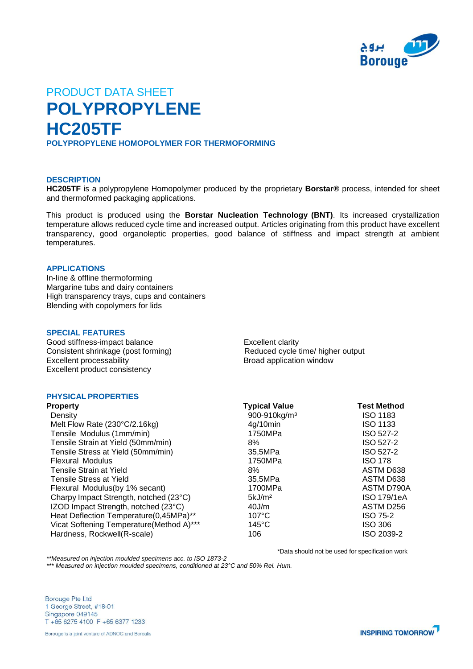

# PRODUCT DATA SHEET **POLYPROPYLENE HC205TF POLYPROPYLENE HOMOPOLYMER FOR THERMOFORMING**

## **DESCRIPTION**

**HC205TF** is a polypropylene Homopolymer produced by the proprietary **Borstar®** process, intended for sheet and thermoformed packaging applications.

This product is produced using the **Borstar Nucleation Technology (BNT)**. Its increased crystallization temperature allows reduced cycle time and increased output. Articles originating from this product have excellent transparency, good organoleptic properties, good balance of stiffness and impact strength at ambient temperatures.

## **APPLICATIONS**

In-line & offline thermoforming Margarine tubs and dairy containers High transparency trays, cups and containers Blending with copolymers for lids

#### **SPECIAL FEATURES**

Good stiffness-impact balance Excellent clarity Consistent shrinkage (post forming)<br>
Excellent processability<br>
Reduced cycle time/ higher output<br>
Reduced cycle time/ higher output<br>
Reduced cycle time/ higher output<br>
Reduced cycle time/ higher output Excellent processability Excellent product consistency

## **PHYSICAL PROPERTIES**

| <b>Property</b>                           | <b>Typical Value</b>     | <b>Test Method</b> |
|-------------------------------------------|--------------------------|--------------------|
| Density                                   | 900-910kg/m <sup>3</sup> | <b>ISO 1183</b>    |
| Melt Flow Rate (230°C/2.16kg)             | 4q/10min                 | <b>ISO 1133</b>    |
| Tensile Modulus (1mm/min)                 | 1750MPa                  | ISO 527-2          |
| Tensile Strain at Yield (50mm/min)        | 8%                       | ISO 527-2          |
| Tensile Stress at Yield (50mm/min)        | 35,5MPa                  | ISO 527-2          |
| <b>Flexural Modulus</b>                   | 1750MPa                  | <b>ISO 178</b>     |
| Tensile Strain at Yield                   | 8%                       | ASTM D638          |
| Tensile Stress at Yield                   | 35,5MPa                  | ASTM D638          |
| Flexural Modulus(by 1% secant)            | 1700MPa                  | ASTM D790A         |
| Charpy Impact Strength, notched (23°C)    | 5kJ/m <sup>2</sup>       | <b>ISO 179/1eA</b> |
| IZOD Impact Strength, notched (23°C)      | 40J/m                    | ASTM D256          |
| Heat Deflection Temperature(0,45MPa)**    | $107^{\circ}$ C          | <b>ISO 75-2</b>    |
| Vicat Softening Temperature (Method A)*** | $145^{\circ}$ C          | <b>ISO 306</b>     |
| Hardness, Rockwell(R-scale)               | 106                      | ISO 2039-2         |

*\**Data should not be used for specification work

*\*\*Measured on injection moulded specimens acc. to ISO 1873-2*

*\*\*\* Measured on injection moulded specimens, conditioned at 23°C and 50% Rel. Hum.*

**Borouge Pte Ltd** 1 George Street, #18-01 Singapore 049145 T +65 6275 4100 F +65 6377 1233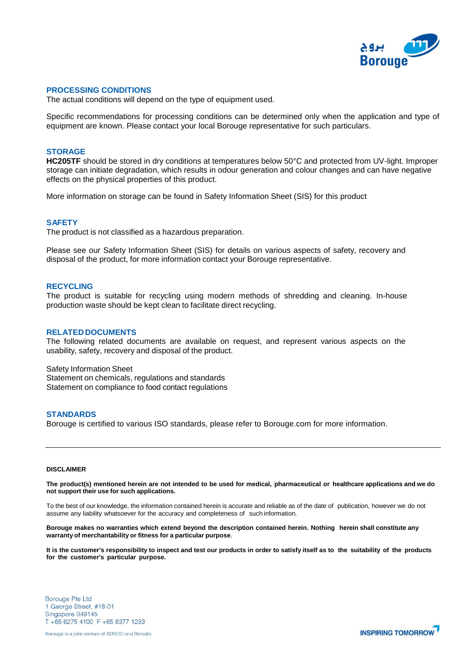

#### **PROCESSING CONDITIONS**

The actual conditions will depend on the type of equipment used.

Specific recommendations for processing conditions can be determined only when the application and type of equipment are known. Please contact your local Borouge representative for such particulars.

### **STORAGE**

**HC205TF** should be stored in dry conditions at temperatures below 50°C and protected from UV-light. Improper storage can initiate degradation, which results in odour generation and colour changes and can have negative effects on the physical properties of this product.

More information on storage can be found in Safety Information Sheet (SIS) for this product

## **SAFETY**

The product is not classified as a hazardous preparation.

Please see our Safety Information Sheet (SIS) for details on various aspects of safety, recovery and disposal of the product, for more information contact your Borouge representative.

#### **RECYCLING**

The product is suitable for recycling using modern methods of shredding and cleaning. In-house production waste should be kept clean to facilitate direct recycling.

#### **RELATED DOCUMENTS**

The following related documents are available on request, and represent various aspects on the usability, safety, recovery and disposal of the product.

Safety Information Sheet Statement on chemicals, regulations and standards Statement on compliance to food contact regulations

### **STANDARDS**

Borouge is certified to various ISO standards, please refer to Borouge.com for more information.

## **DISCLAIMER**

The product(s) mentioned herein are not intended to be used for medical, pharmaceutical or healthcare applications and we do **not support their use for such applications.**

To the best of our knowledge, the information contained herein is accurate and reliable as of the date of publication, however we do not assume any liability whatsoever for the accuracy and completeness of such information.

Borouge makes no warranties which extend beyond the description contained herein. Nothing herein shall constitute any **warranty of merchantability or fitness for a particular purpose**.

It is the customer's responsibility to inspect and test our products in order to satisfy itself as to the suitability of the products **for the customer's particular purpose.**

**Borouge Pte Ltd** 1 George Street, #18-01 Singapore 049145 T +65 6275 4100 F +65 6377 1233

Borouge is a joint venture of ADNOC and Borealis

**INSPIRING TOMORROW**